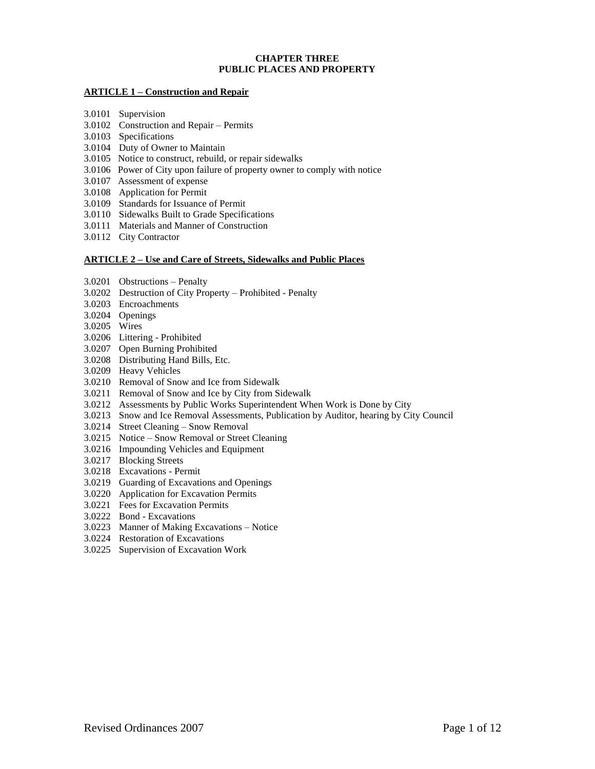# **CHAPTER THREE PUBLIC PLACES AND PROPERTY**

## **ARTICLE 1 – Construction and Repair**

- 3.0101 Supervision
- 3.0102 Construction and Repair Permits
- 3.0103 Specifications
- 3.0104 Duty of Owner to Maintain
- 3.0105 Notice to construct, rebuild, or repair sidewalks
- 3.0106 Power of City upon failure of property owner to comply with notice
- 3.0107 Assessment of expense
- 3.0108 Application for Permit
- 3.0109 Standards for Issuance of Permit
- 3.0110 Sidewalks Built to Grade Specifications
- 3.0111 Materials and Manner of Construction
- 3.0112 City Contractor

### **ARTICLE 2 – Use and Care of Streets, Sidewalks and Public Places**

- 3.0201 Obstructions Penalty
- 3.0202 Destruction of City Property Prohibited Penalty
- 3.0203 Encroachments
- 3.0204 Openings
- 3.0205 Wires
- 3.0206 Littering Prohibited
- 3.0207 Open Burning Prohibited
- 3.0208 Distributing Hand Bills, Etc.
- 3.0209 Heavy Vehicles
- 3.0210 Removal of Snow and Ice from Sidewalk
- 3.0211 Removal of Snow and Ice by City from Sidewalk
- 3.0212 Assessments by Public Works Superintendent When Work is Done by City
- 3.0213 Snow and Ice Removal Assessments, Publication by Auditor, hearing by City Council
- 3.0214 Street Cleaning Snow Removal
- 3.0215 Notice Snow Removal or Street Cleaning
- 3.0216 Impounding Vehicles and Equipment
- 3.0217 Blocking Streets
- 3.0218 Excavations Permit
- 3.0219 Guarding of Excavations and Openings
- 3.0220 Application for Excavation Permits
- 3.0221 Fees for Excavation Permits
- 3.0222 Bond Excavations
- 3.0223 Manner of Making Excavations Notice
- 3.0224 Restoration of Excavations
- 3.0225 Supervision of Excavation Work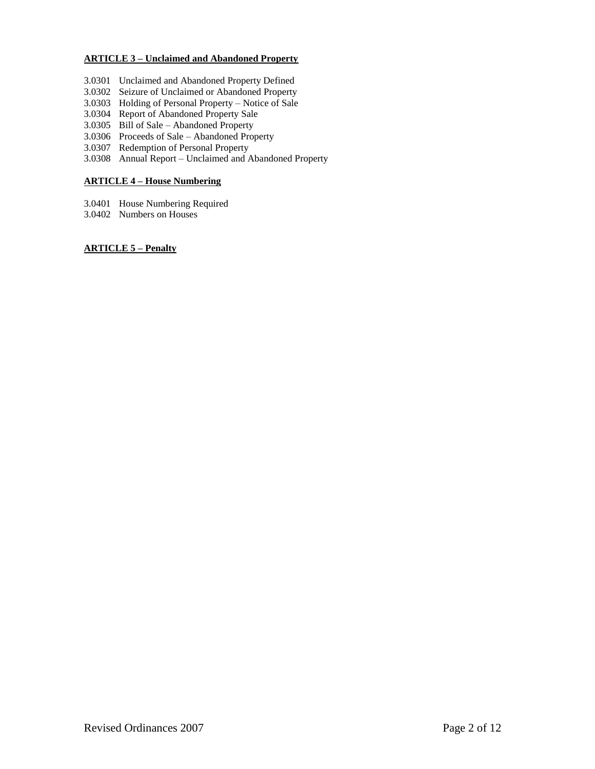# **ARTICLE 3 – Unclaimed and Abandoned Property**

- 3.0301 Unclaimed and Abandoned Property Defined
- 3.0302 Seizure of Unclaimed or Abandoned Property
- 3.0303 Holding of Personal Property Notice of Sale
- 3.0304 Report of Abandoned Property Sale
- 3.0305 Bill of Sale Abandoned Property
- 3.0306 Proceeds of Sale Abandoned Property
- 3.0307 Redemption of Personal Property
- 3.0308 Annual Report Unclaimed and Abandoned Property

# **ARTICLE 4 – House Numbering**

- 3.0401 House Numbering Required
- 3.0402 Numbers on Houses

# **ARTICLE 5 – Penalty**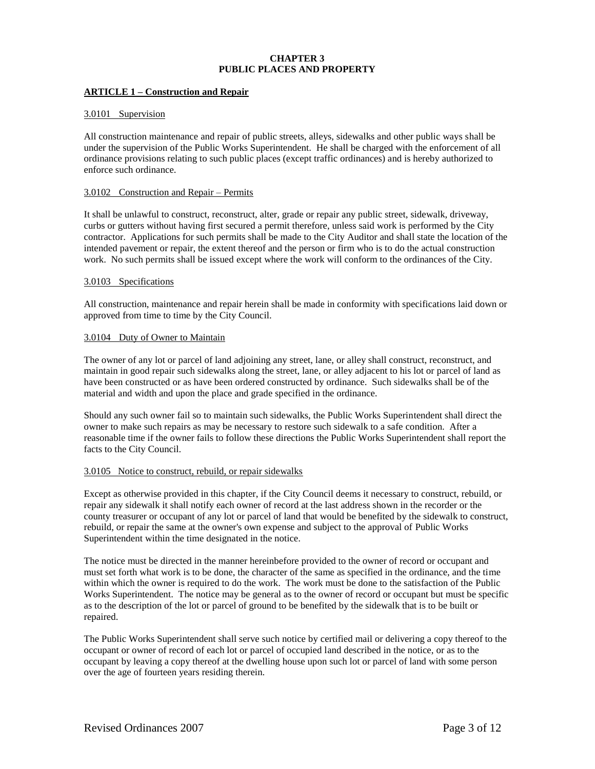# **CHAPTER 3 PUBLIC PLACES AND PROPERTY**

## **ARTICLE 1 – Construction and Repair**

### 3.0101 Supervision

All construction maintenance and repair of public streets, alleys, sidewalks and other public ways shall be under the supervision of the Public Works Superintendent. He shall be charged with the enforcement of all ordinance provisions relating to such public places (except traffic ordinances) and is hereby authorized to enforce such ordinance.

## 3.0102 Construction and Repair – Permits

It shall be unlawful to construct, reconstruct, alter, grade or repair any public street, sidewalk, driveway, curbs or gutters without having first secured a permit therefore, unless said work is performed by the City contractor. Applications for such permits shall be made to the City Auditor and shall state the location of the intended pavement or repair, the extent thereof and the person or firm who is to do the actual construction work. No such permits shall be issued except where the work will conform to the ordinances of the City.

### 3.0103 Specifications

All construction, maintenance and repair herein shall be made in conformity with specifications laid down or approved from time to time by the City Council.

## 3.0104 Duty of Owner to Maintain

The owner of any lot or parcel of land adjoining any street, lane, or alley shall construct, reconstruct, and maintain in good repair such sidewalks along the street, lane, or alley adjacent to his lot or parcel of land as have been constructed or as have been ordered constructed by ordinance. Such sidewalks shall be of the material and width and upon the place and grade specified in the ordinance.

Should any such owner fail so to maintain such sidewalks, the Public Works Superintendent shall direct the owner to make such repairs as may be necessary to restore such sidewalk to a safe condition. After a reasonable time if the owner fails to follow these directions the Public Works Superintendent shall report the facts to the City Council.

# 3.0105 Notice to construct, rebuild, or repair sidewalks

Except as otherwise provided in this chapter, if the City Council deems it necessary to construct, rebuild, or repair any sidewalk it shall notify each owner of record at the last address shown in the recorder or the county treasurer or occupant of any lot or parcel of land that would be benefited by the sidewalk to construct, rebuild, or repair the same at the owner's own expense and subject to the approval of Public Works Superintendent within the time designated in the notice.

The notice must be directed in the manner hereinbefore provided to the owner of record or occupant and must set forth what work is to be done, the character of the same as specified in the ordinance, and the time within which the owner is required to do the work. The work must be done to the satisfaction of the Public Works Superintendent. The notice may be general as to the owner of record or occupant but must be specific as to the description of the lot or parcel of ground to be benefited by the sidewalk that is to be built or repaired.

The Public Works Superintendent shall serve such notice by certified mail or delivering a copy thereof to the occupant or owner of record of each lot or parcel of occupied land described in the notice, or as to the occupant by leaving a copy thereof at the dwelling house upon such lot or parcel of land with some person over the age of fourteen years residing therein.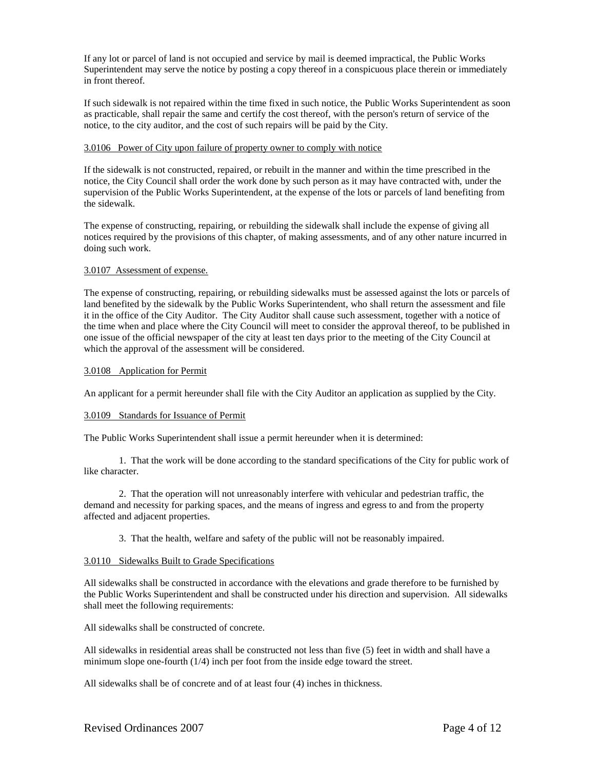If any lot or parcel of land is not occupied and service by mail is deemed impractical, the Public Works Superintendent may serve the notice by posting a copy thereof in a conspicuous place therein or immediately in front thereof.

If such sidewalk is not repaired within the time fixed in such notice, the Public Works Superintendent as soon as practicable, shall repair the same and certify the cost thereof, with the person's return of service of the notice, to the city auditor, and the cost of such repairs will be paid by the City.

## 3.0106 Power of City upon failure of property owner to comply with notice

If the sidewalk is not constructed, repaired, or rebuilt in the manner and within the time prescribed in the notice, the City Council shall order the work done by such person as it may have contracted with, under the supervision of the Public Works Superintendent, at the expense of the lots or parcels of land benefiting from the sidewalk.

The expense of constructing, repairing, or rebuilding the sidewalk shall include the expense of giving all notices required by the provisions of this chapter, of making assessments, and of any other nature incurred in doing such work.

## 3.0107 Assessment of expense.

The expense of constructing, repairing, or rebuilding sidewalks must be assessed against the lots or parcels of land benefited by the sidewalk by the Public Works Superintendent, who shall return the assessment and file it in the office of the City Auditor. The City Auditor shall cause such assessment, together with a notice of the time when and place where the City Council will meet to consider the approval thereof, to be published in one issue of the official newspaper of the city at least ten days prior to the meeting of the City Council at which the approval of the assessment will be considered.

## 3.0108 Application for Permit

An applicant for a permit hereunder shall file with the City Auditor an application as supplied by the City.

### 3.0109 Standards for Issuance of Permit

The Public Works Superintendent shall issue a permit hereunder when it is determined:

1. That the work will be done according to the standard specifications of the City for public work of like character.

2. That the operation will not unreasonably interfere with vehicular and pedestrian traffic, the demand and necessity for parking spaces, and the means of ingress and egress to and from the property affected and adjacent properties.

3. That the health, welfare and safety of the public will not be reasonably impaired.

### 3.0110 Sidewalks Built to Grade Specifications

All sidewalks shall be constructed in accordance with the elevations and grade therefore to be furnished by the Public Works Superintendent and shall be constructed under his direction and supervision. All sidewalks shall meet the following requirements:

All sidewalks shall be constructed of concrete.

All sidewalks in residential areas shall be constructed not less than five (5) feet in width and shall have a minimum slope one-fourth (1/4) inch per foot from the inside edge toward the street.

All sidewalks shall be of concrete and of at least four (4) inches in thickness.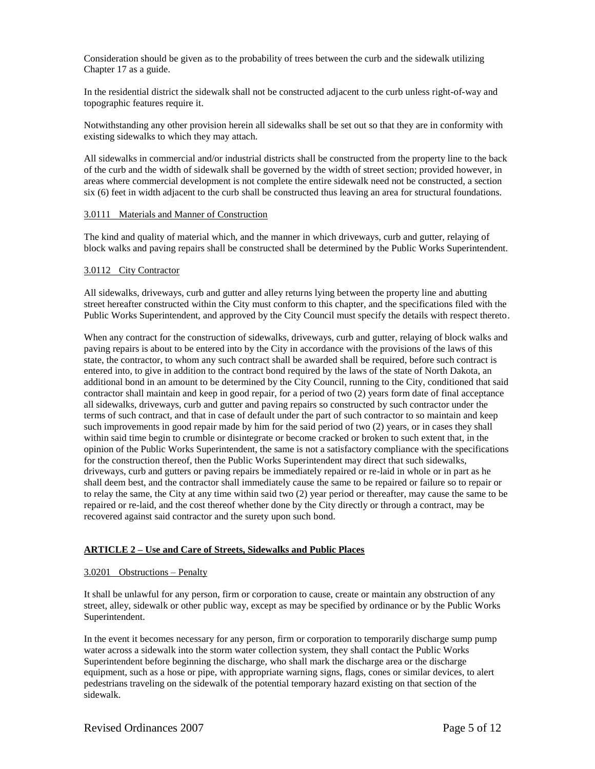Consideration should be given as to the probability of trees between the curb and the sidewalk utilizing Chapter 17 as a guide.

In the residential district the sidewalk shall not be constructed adjacent to the curb unless right-of-way and topographic features require it.

Notwithstanding any other provision herein all sidewalks shall be set out so that they are in conformity with existing sidewalks to which they may attach.

All sidewalks in commercial and/or industrial districts shall be constructed from the property line to the back of the curb and the width of sidewalk shall be governed by the width of street section; provided however, in areas where commercial development is not complete the entire sidewalk need not be constructed, a section six (6) feet in width adjacent to the curb shall be constructed thus leaving an area for structural foundations.

#### 3.0111 Materials and Manner of Construction

The kind and quality of material which, and the manner in which driveways, curb and gutter, relaying of block walks and paving repairs shall be constructed shall be determined by the Public Works Superintendent.

#### 3.0112 City Contractor

All sidewalks, driveways, curb and gutter and alley returns lying between the property line and abutting street hereafter constructed within the City must conform to this chapter, and the specifications filed with the Public Works Superintendent, and approved by the City Council must specify the details with respect thereto.

When any contract for the construction of sidewalks, driveways, curb and gutter, relaying of block walks and paving repairs is about to be entered into by the City in accordance with the provisions of the laws of this state, the contractor, to whom any such contract shall be awarded shall be required, before such contract is entered into, to give in addition to the contract bond required by the laws of the state of North Dakota, an additional bond in an amount to be determined by the City Council, running to the City, conditioned that said contractor shall maintain and keep in good repair, for a period of two (2) years form date of final acceptance all sidewalks, driveways, curb and gutter and paving repairs so constructed by such contractor under the terms of such contract, and that in case of default under the part of such contractor to so maintain and keep such improvements in good repair made by him for the said period of two (2) years, or in cases they shall within said time begin to crumble or disintegrate or become cracked or broken to such extent that, in the opinion of the Public Works Superintendent, the same is not a satisfactory compliance with the specifications for the construction thereof, then the Public Works Superintendent may direct that such sidewalks, driveways, curb and gutters or paving repairs be immediately repaired or re-laid in whole or in part as he shall deem best, and the contractor shall immediately cause the same to be repaired or failure so to repair or to relay the same, the City at any time within said two (2) year period or thereafter, may cause the same to be repaired or re-laid, and the cost thereof whether done by the City directly or through a contract, may be recovered against said contractor and the surety upon such bond.

### **ARTICLE 2 – Use and Care of Streets, Sidewalks and Public Places**

## 3.0201 Obstructions – Penalty

It shall be unlawful for any person, firm or corporation to cause, create or maintain any obstruction of any street, alley, sidewalk or other public way, except as may be specified by ordinance or by the Public Works Superintendent.

In the event it becomes necessary for any person, firm or corporation to temporarily discharge sump pump water across a sidewalk into the storm water collection system, they shall contact the Public Works Superintendent before beginning the discharge, who shall mark the discharge area or the discharge equipment, such as a hose or pipe, with appropriate warning signs, flags, cones or similar devices, to alert pedestrians traveling on the sidewalk of the potential temporary hazard existing on that section of the sidewalk.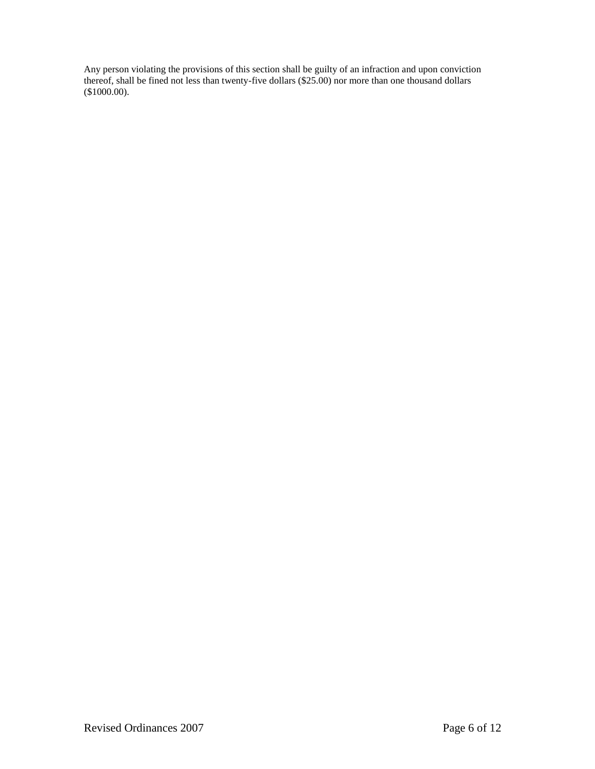Any person violating the provisions of this section shall be guilty of an infraction and upon conviction thereof, shall be fined not less than twenty-five dollars (\$25.00) nor more than one thousand dollars (\$1000.00).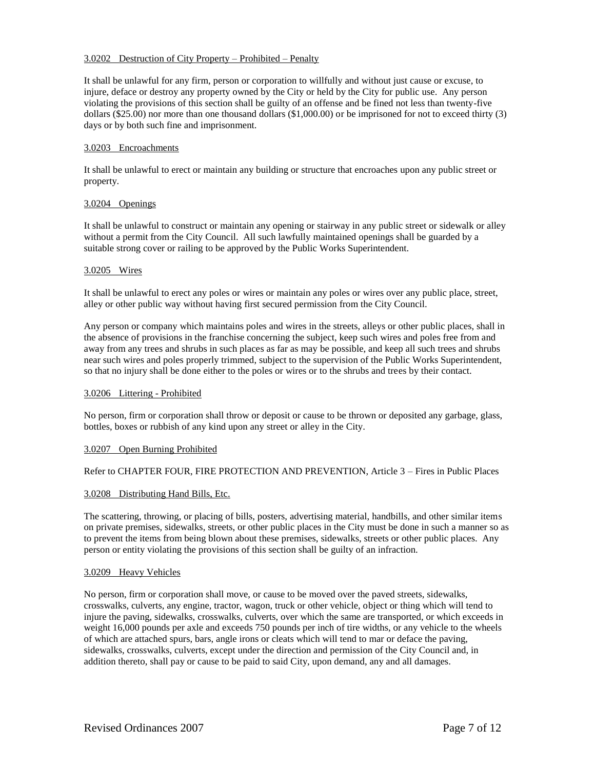## 3.0202 Destruction of City Property – Prohibited – Penalty

It shall be unlawful for any firm, person or corporation to willfully and without just cause or excuse, to injure, deface or destroy any property owned by the City or held by the City for public use. Any person violating the provisions of this section shall be guilty of an offense and be fined not less than twenty-five dollars (\$25.00) nor more than one thousand dollars (\$1,000.00) or be imprisoned for not to exceed thirty (3) days or by both such fine and imprisonment.

### 3.0203 Encroachments

It shall be unlawful to erect or maintain any building or structure that encroaches upon any public street or property.

### 3.0204 Openings

It shall be unlawful to construct or maintain any opening or stairway in any public street or sidewalk or alley without a permit from the City Council. All such lawfully maintained openings shall be guarded by a suitable strong cover or railing to be approved by the Public Works Superintendent.

#### 3.0205 Wires

It shall be unlawful to erect any poles or wires or maintain any poles or wires over any public place, street, alley or other public way without having first secured permission from the City Council.

Any person or company which maintains poles and wires in the streets, alleys or other public places, shall in the absence of provisions in the franchise concerning the subject, keep such wires and poles free from and away from any trees and shrubs in such places as far as may be possible, and keep all such trees and shrubs near such wires and poles properly trimmed, subject to the supervision of the Public Works Superintendent, so that no injury shall be done either to the poles or wires or to the shrubs and trees by their contact.

### 3.0206 Littering - Prohibited

No person, firm or corporation shall throw or deposit or cause to be thrown or deposited any garbage, glass, bottles, boxes or rubbish of any kind upon any street or alley in the City.

### 3.0207 Open Burning Prohibited

### Refer to CHAPTER FOUR, FIRE PROTECTION AND PREVENTION, Article 3 – Fires in Public Places

#### 3.0208 Distributing Hand Bills, Etc.

The scattering, throwing, or placing of bills, posters, advertising material, handbills, and other similar items on private premises, sidewalks, streets, or other public places in the City must be done in such a manner so as to prevent the items from being blown about these premises, sidewalks, streets or other public places. Any person or entity violating the provisions of this section shall be guilty of an infraction.

#### 3.0209 Heavy Vehicles

No person, firm or corporation shall move, or cause to be moved over the paved streets, sidewalks, crosswalks, culverts, any engine, tractor, wagon, truck or other vehicle, object or thing which will tend to injure the paving, sidewalks, crosswalks, culverts, over which the same are transported, or which exceeds in weight 16,000 pounds per axle and exceeds 750 pounds per inch of tire widths, or any vehicle to the wheels of which are attached spurs, bars, angle irons or cleats which will tend to mar or deface the paving, sidewalks, crosswalks, culverts, except under the direction and permission of the City Council and, in addition thereto, shall pay or cause to be paid to said City, upon demand, any and all damages.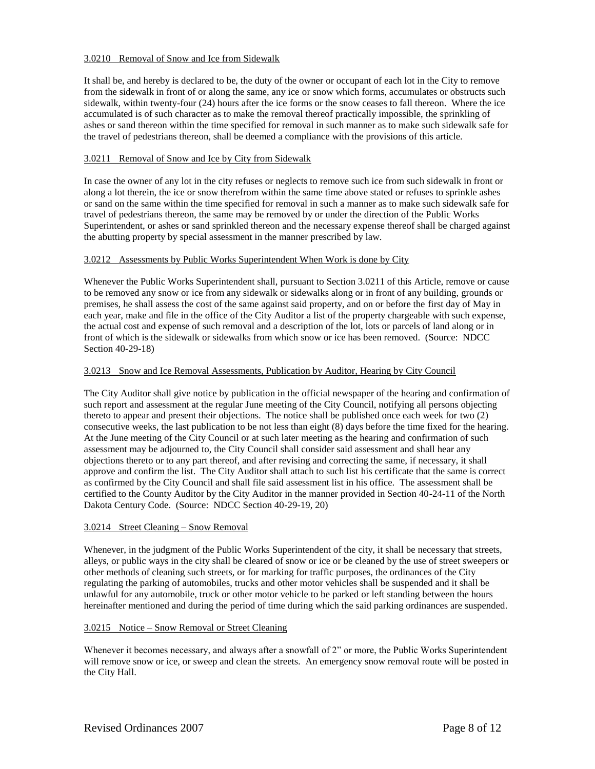## 3.0210 Removal of Snow and Ice from Sidewalk

It shall be, and hereby is declared to be, the duty of the owner or occupant of each lot in the City to remove from the sidewalk in front of or along the same, any ice or snow which forms, accumulates or obstructs such sidewalk, within twenty-four (24) hours after the ice forms or the snow ceases to fall thereon. Where the ice accumulated is of such character as to make the removal thereof practically impossible, the sprinkling of ashes or sand thereon within the time specified for removal in such manner as to make such sidewalk safe for the travel of pedestrians thereon, shall be deemed a compliance with the provisions of this article.

# 3.0211 Removal of Snow and Ice by City from Sidewalk

In case the owner of any lot in the city refuses or neglects to remove such ice from such sidewalk in front or along a lot therein, the ice or snow therefrom within the same time above stated or refuses to sprinkle ashes or sand on the same within the time specified for removal in such a manner as to make such sidewalk safe for travel of pedestrians thereon, the same may be removed by or under the direction of the Public Works Superintendent, or ashes or sand sprinkled thereon and the necessary expense thereof shall be charged against the abutting property by special assessment in the manner prescribed by law.

## 3.0212 Assessments by Public Works Superintendent When Work is done by City

Whenever the Public Works Superintendent shall, pursuant to Section 3.0211 of this Article, remove or cause to be removed any snow or ice from any sidewalk or sidewalks along or in front of any building, grounds or premises, he shall assess the cost of the same against said property, and on or before the first day of May in each year, make and file in the office of the City Auditor a list of the property chargeable with such expense, the actual cost and expense of such removal and a description of the lot, lots or parcels of land along or in front of which is the sidewalk or sidewalks from which snow or ice has been removed. (Source: NDCC Section 40-29-18)

## 3.0213 Snow and Ice Removal Assessments, Publication by Auditor, Hearing by City Council

The City Auditor shall give notice by publication in the official newspaper of the hearing and confirmation of such report and assessment at the regular June meeting of the City Council, notifying all persons objecting thereto to appear and present their objections. The notice shall be published once each week for two (2) consecutive weeks, the last publication to be not less than eight (8) days before the time fixed for the hearing. At the June meeting of the City Council or at such later meeting as the hearing and confirmation of such assessment may be adjourned to, the City Council shall consider said assessment and shall hear any objections thereto or to any part thereof, and after revising and correcting the same, if necessary, it shall approve and confirm the list. The City Auditor shall attach to such list his certificate that the same is correct as confirmed by the City Council and shall file said assessment list in his office. The assessment shall be certified to the County Auditor by the City Auditor in the manner provided in Section 40-24-11 of the North Dakota Century Code. (Source: NDCC Section 40-29-19, 20)

# 3.0214 Street Cleaning – Snow Removal

Whenever, in the judgment of the Public Works Superintendent of the city, it shall be necessary that streets, alleys, or public ways in the city shall be cleared of snow or ice or be cleaned by the use of street sweepers or other methods of cleaning such streets, or for marking for traffic purposes, the ordinances of the City regulating the parking of automobiles, trucks and other motor vehicles shall be suspended and it shall be unlawful for any automobile, truck or other motor vehicle to be parked or left standing between the hours hereinafter mentioned and during the period of time during which the said parking ordinances are suspended.

### 3.0215 Notice – Snow Removal or Street Cleaning

Whenever it becomes necessary, and always after a snowfall of 2" or more, the Public Works Superintendent will remove snow or ice, or sweep and clean the streets. An emergency snow removal route will be posted in the City Hall.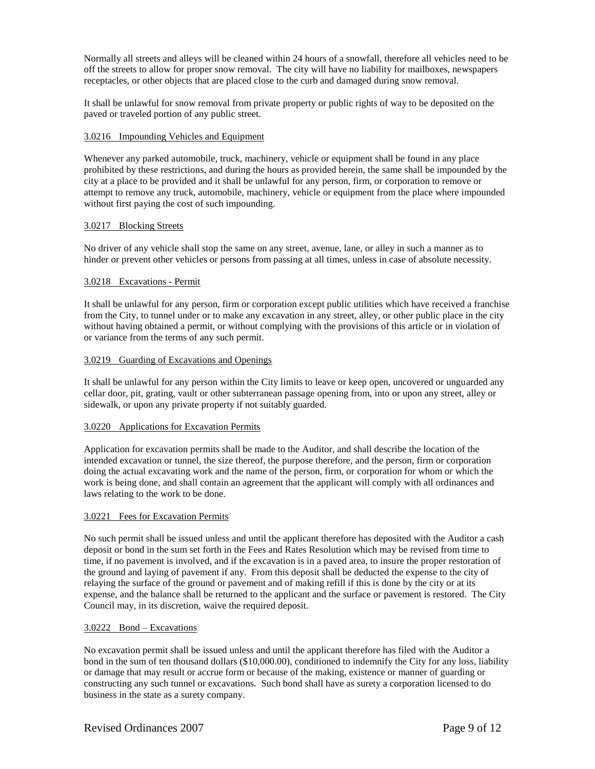Normally all streets and alleys will be cleaned within 24 hours of a snowfall, therefore all vehicles need to be off the streets to allow for proper snow removal. The city will have no liability for mailboxes, newspapers receptacles, or other objects that are placed close to the curb and damaged during snow removal.

It shall be unlawful for snow removal from private property or public rights of way to be deposited on the paved or traveled portion of any public street.

### 3.0216 Impounding Vehicles and Equipment

Whenever any parked automobile, truck, machinery, vehicle or equipment shall be found in any place prohibited by these restrictions, and during the hours as provided herein, the same shall be impounded by the city at a place to be provided and it shall be unlawful for any person, firm, or corporation to remove or attempt to remove any truck, automobile, machinery, vehicle or equipment from the place where impounded without first paying the cost of such impounding.

## 3.0217 Blocking Streets

No driver of any vehicle shall stop the same on any street, avenue, lane, or alley in such a manner as to hinder or prevent other vehicles or persons from passing at all times, unless in case of absolute necessity.

## 3.0218 Excavations - Permit

It shall be unlawful for any person, firm or corporation except public utilities which have received a franchise from the City, to tunnel under or to make any excavation in any street, alley, or other public place in the city without having obtained a permit, or without complying with the provisions of this article or in violation of or variance from the terms of any such permit.

## 3.0219 Guarding of Excavations and Openings

It shall be unlawful for any person within the City limits to leave or keep open, uncovered or unguarded any cellar door, pit, grating, vault or other subterranean passage opening from, into or upon any street, alley or sidewalk, or upon any private property if not suitably guarded.

### 3.0220 Applications for Excavation Permits

Application for excavation permits shall be made to the Auditor, and shall describe the location of the intended excavation or tunnel, the size thereof, the purpose therefore, and the person, firm or corporation doing the actual excavating work and the name of the person, firm, or corporation for whom or which the work is being done, and shall contain an agreement that the applicant will comply with all ordinances and laws relating to the work to be done.

### 3.0221 Fees for Excavation Permits

No such permit shall be issued unless and until the applicant therefore has deposited with the Auditor a cash deposit or bond in the sum set forth in the Fees and Rates Resolution which may be revised from time to time, if no pavement is involved, and if the excavation is in a paved area, to insure the proper restoration of the ground and laying of pavement if any. From this deposit shall be deducted the expense to the city of relaying the surface of the ground or pavement and of making refill if this is done by the city or at its expense, and the balance shall be returned to the applicant and the surface or pavement is restored. The City Council may, in its discretion, waive the required deposit.

### 3.0222 Bond – Excavations

No excavation permit shall be issued unless and until the applicant therefore has filed with the Auditor a bond in the sum of ten thousand dollars (\$10,000.00), conditioned to indemnify the City for any loss, liability or damage that may result or accrue form or because of the making, existence or manner of guarding or constructing any such tunnel or excavations. Such bond shall have as surety a corporation licensed to do business in the state as a surety company.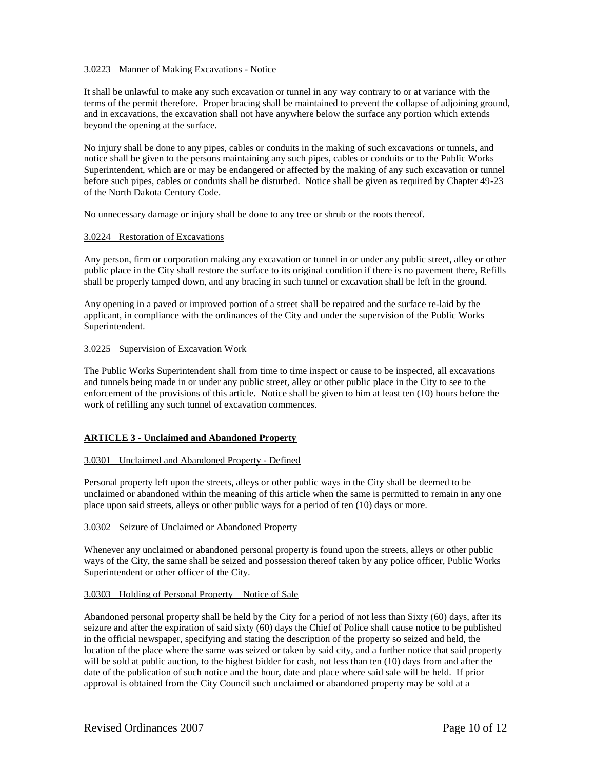## 3.0223 Manner of Making Excavations - Notice

It shall be unlawful to make any such excavation or tunnel in any way contrary to or at variance with the terms of the permit therefore. Proper bracing shall be maintained to prevent the collapse of adjoining ground, and in excavations, the excavation shall not have anywhere below the surface any portion which extends beyond the opening at the surface.

No injury shall be done to any pipes, cables or conduits in the making of such excavations or tunnels, and notice shall be given to the persons maintaining any such pipes, cables or conduits or to the Public Works Superintendent, which are or may be endangered or affected by the making of any such excavation or tunnel before such pipes, cables or conduits shall be disturbed. Notice shall be given as required by Chapter 49-23 of the North Dakota Century Code.

No unnecessary damage or injury shall be done to any tree or shrub or the roots thereof.

### 3.0224 Restoration of Excavations

Any person, firm or corporation making any excavation or tunnel in or under any public street, alley or other public place in the City shall restore the surface to its original condition if there is no pavement there, Refills shall be properly tamped down, and any bracing in such tunnel or excavation shall be left in the ground.

Any opening in a paved or improved portion of a street shall be repaired and the surface re-laid by the applicant, in compliance with the ordinances of the City and under the supervision of the Public Works Superintendent.

### 3.0225 Supervision of Excavation Work

The Public Works Superintendent shall from time to time inspect or cause to be inspected, all excavations and tunnels being made in or under any public street, alley or other public place in the City to see to the enforcement of the provisions of this article. Notice shall be given to him at least ten (10) hours before the work of refilling any such tunnel of excavation commences.

# **ARTICLE 3 - Unclaimed and Abandoned Property**

### 3.0301 Unclaimed and Abandoned Property - Defined

Personal property left upon the streets, alleys or other public ways in the City shall be deemed to be unclaimed or abandoned within the meaning of this article when the same is permitted to remain in any one place upon said streets, alleys or other public ways for a period of ten (10) days or more.

### 3.0302 Seizure of Unclaimed or Abandoned Property

Whenever any unclaimed or abandoned personal property is found upon the streets, alleys or other public ways of the City, the same shall be seized and possession thereof taken by any police officer, Public Works Superintendent or other officer of the City.

### 3.0303 Holding of Personal Property – Notice of Sale

Abandoned personal property shall be held by the City for a period of not less than Sixty (60) days, after its seizure and after the expiration of said sixty (60) days the Chief of Police shall cause notice to be published in the official newspaper, specifying and stating the description of the property so seized and held, the location of the place where the same was seized or taken by said city, and a further notice that said property will be sold at public auction, to the highest bidder for cash, not less than ten (10) days from and after the date of the publication of such notice and the hour, date and place where said sale will be held. If prior approval is obtained from the City Council such unclaimed or abandoned property may be sold at a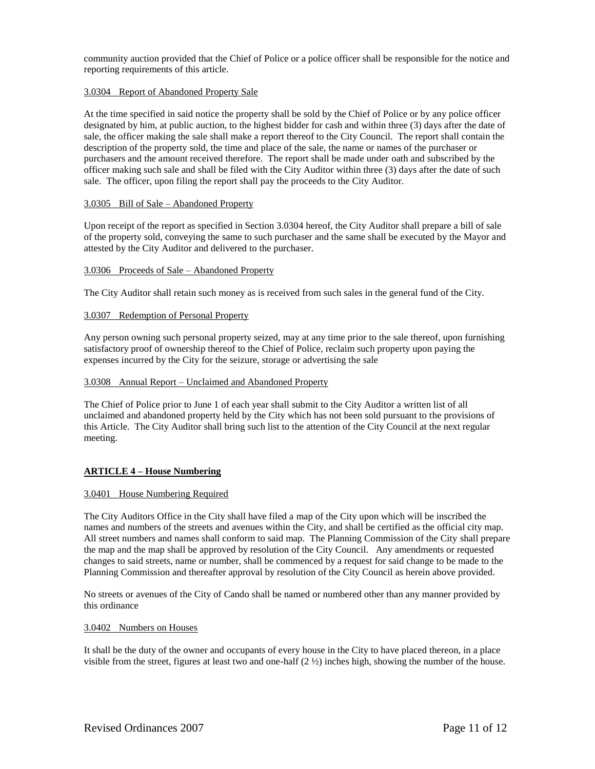community auction provided that the Chief of Police or a police officer shall be responsible for the notice and reporting requirements of this article.

## 3.0304 Report of Abandoned Property Sale

At the time specified in said notice the property shall be sold by the Chief of Police or by any police officer designated by him, at public auction, to the highest bidder for cash and within three (3) days after the date of sale, the officer making the sale shall make a report thereof to the City Council. The report shall contain the description of the property sold, the time and place of the sale, the name or names of the purchaser or purchasers and the amount received therefore. The report shall be made under oath and subscribed by the officer making such sale and shall be filed with the City Auditor within three (3) days after the date of such sale. The officer, upon filing the report shall pay the proceeds to the City Auditor.

### 3.0305 Bill of Sale – Abandoned Property

Upon receipt of the report as specified in Section 3.0304 hereof, the City Auditor shall prepare a bill of sale of the property sold, conveying the same to such purchaser and the same shall be executed by the Mayor and attested by the City Auditor and delivered to the purchaser.

## 3.0306 Proceeds of Sale – Abandoned Property

The City Auditor shall retain such money as is received from such sales in the general fund of the City.

## 3.0307 Redemption of Personal Property

Any person owning such personal property seized, may at any time prior to the sale thereof, upon furnishing satisfactory proof of ownership thereof to the Chief of Police, reclaim such property upon paying the expenses incurred by the City for the seizure, storage or advertising the sale

## 3.0308 Annual Report – Unclaimed and Abandoned Property

The Chief of Police prior to June 1 of each year shall submit to the City Auditor a written list of all unclaimed and abandoned property held by the City which has not been sold pursuant to the provisions of this Article. The City Auditor shall bring such list to the attention of the City Council at the next regular meeting.

# **ARTICLE 4 – House Numbering**

### 3.0401 House Numbering Required

The City Auditors Office in the City shall have filed a map of the City upon which will be inscribed the names and numbers of the streets and avenues within the City, and shall be certified as the official city map. All street numbers and names shall conform to said map. The Planning Commission of the City shall prepare the map and the map shall be approved by resolution of the City Council. Any amendments or requested changes to said streets, name or number, shall be commenced by a request for said change to be made to the Planning Commission and thereafter approval by resolution of the City Council as herein above provided.

No streets or avenues of the City of Cando shall be named or numbered other than any manner provided by this ordinance

3.0402 Numbers on Houses

It shall be the duty of the owner and occupants of every house in the City to have placed thereon, in a place visible from the street, figures at least two and one-half (2 ½) inches high, showing the number of the house.